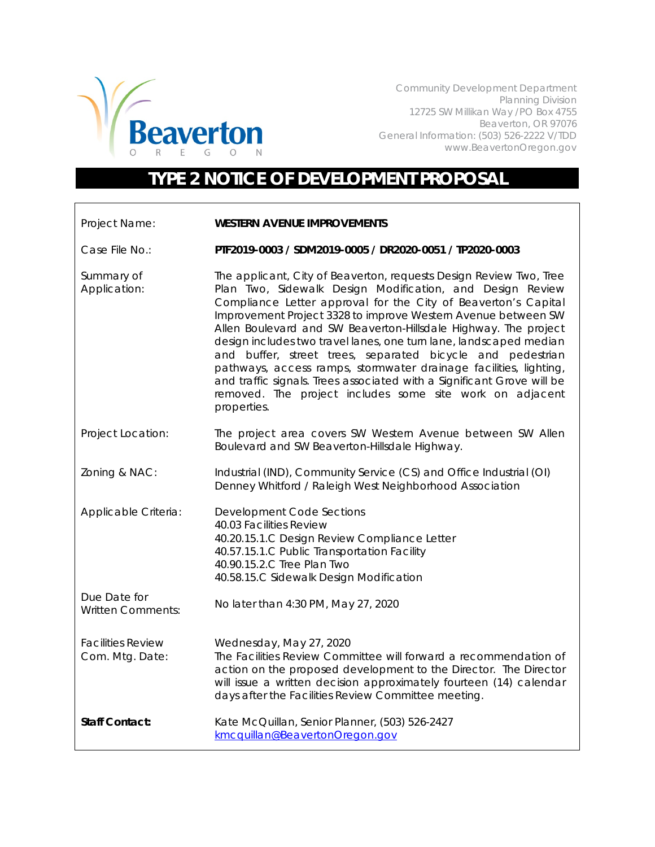

Community Development Department Planning Division 12725 SW Millikan Way /PO Box 4755 Beaverton, OR 97076 General Information: (503) 526-2222 V/TDD www.BeavertonOregon.gov

## **TYPE 2 NOTICE OF DEVELOPMENT PROPOSAL**

| Project Name:                               | <b>WESTERN AVENUE IMPROVEMENTS</b>                                                                                                                                                                                                                                                                                                                                                                                                                                                                                                                                                                                                                                                                  |
|---------------------------------------------|-----------------------------------------------------------------------------------------------------------------------------------------------------------------------------------------------------------------------------------------------------------------------------------------------------------------------------------------------------------------------------------------------------------------------------------------------------------------------------------------------------------------------------------------------------------------------------------------------------------------------------------------------------------------------------------------------------|
| Case File No.:                              | PTF2019-0003 / SDM2019-0005 / DR2020-0051 / TP2020-0003                                                                                                                                                                                                                                                                                                                                                                                                                                                                                                                                                                                                                                             |
| Summary of<br>Application:                  | The applicant, City of Beaverton, requests Design Review Two, Tree<br>Plan Two, Sidewalk Design Modification, and Design Review<br>Compliance Letter approval for the City of Beaverton's Capital<br>Improvement Project 3328 to improve Western Avenue between SW<br>Allen Boulevard and SW Beaverton-Hillsdale Highway. The project<br>design includes two travel lanes, one turn lane, landscaped median<br>and buffer, street trees, separated bicycle and pedestrian<br>pathways, access ramps, stormwater drainage facilities, lighting,<br>and traffic signals. Trees associated with a Significant Grove will be<br>removed. The project includes some site work on adjacent<br>properties. |
| Project Location:                           | The project area covers SW Western Avenue between SW Allen<br>Boulevard and SW Beaverton-Hillsdale Highway.                                                                                                                                                                                                                                                                                                                                                                                                                                                                                                                                                                                         |
| Zoning & NAC:                               | Industrial (IND), Community Service (CS) and Office Industrial (OI)<br>Denney Whitford / Raleigh West Neighborhood Association                                                                                                                                                                                                                                                                                                                                                                                                                                                                                                                                                                      |
| Applicable Criteria:                        | <b>Development Code Sections</b><br>40.03 Facilities Review<br>40.20.15.1.C Design Review Compliance Letter<br>40.57.15.1.C Public Transportation Facility<br>40.90.15.2.C Tree Plan Two<br>40.58.15.C Sidewalk Design Modification                                                                                                                                                                                                                                                                                                                                                                                                                                                                 |
| Due Date for<br><b>Written Comments:</b>    | No later than 4:30 PM, May 27, 2020                                                                                                                                                                                                                                                                                                                                                                                                                                                                                                                                                                                                                                                                 |
| <b>Facilities Review</b><br>Com. Mtg. Date: | Wednesday, May 27, 2020<br>The Facilities Review Committee will forward a recommendation of<br>action on the proposed development to the Director. The Director<br>will issue a written decision approximately fourteen (14) calendar<br>days after the Facilities Review Committee meeting.                                                                                                                                                                                                                                                                                                                                                                                                        |
| <b>Staff Contact:</b>                       | Kate McQuillan, Senior Planner, (503) 526-2427<br>kmcquillan@BeavertonOregon.gov                                                                                                                                                                                                                                                                                                                                                                                                                                                                                                                                                                                                                    |